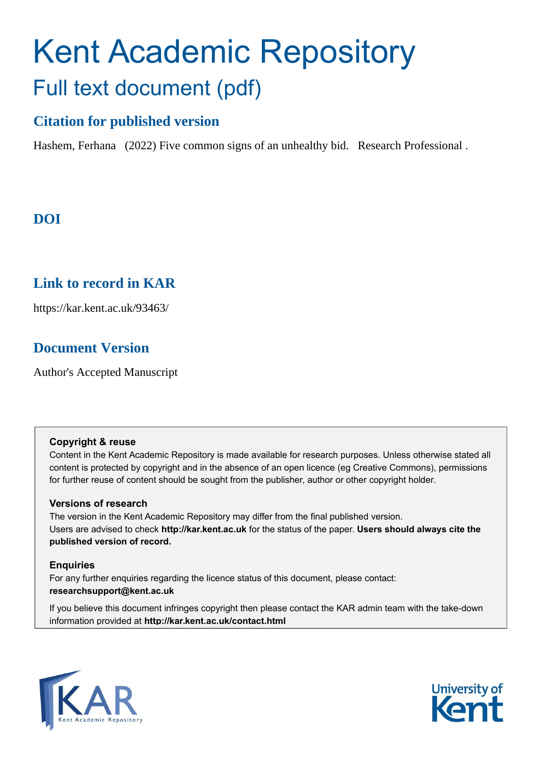# Kent Academic Repository Full text document (pdf)

## **Citation for published version**

Hashem, Ferhana (2022) Five common signs of an unhealthy bid. Research Professional .

## **DOI**

## **Link to record in KAR**

https://kar.kent.ac.uk/93463/

## **Document Version**

Author's Accepted Manuscript

#### **Copyright & reuse**

Content in the Kent Academic Repository is made available for research purposes. Unless otherwise stated all content is protected by copyright and in the absence of an open licence (eg Creative Commons), permissions for further reuse of content should be sought from the publisher, author or other copyright holder.

#### **Versions of research**

The version in the Kent Academic Repository may differ from the final published version. Users are advised to check **http://kar.kent.ac.uk** for the status of the paper. **Users should always cite the published version of record.**

#### **Enquiries**

For any further enquiries regarding the licence status of this document, please contact: **researchsupport@kent.ac.uk**

If you believe this document infringes copyright then please contact the KAR admin team with the take-down information provided at **http://kar.kent.ac.uk/contact.html**



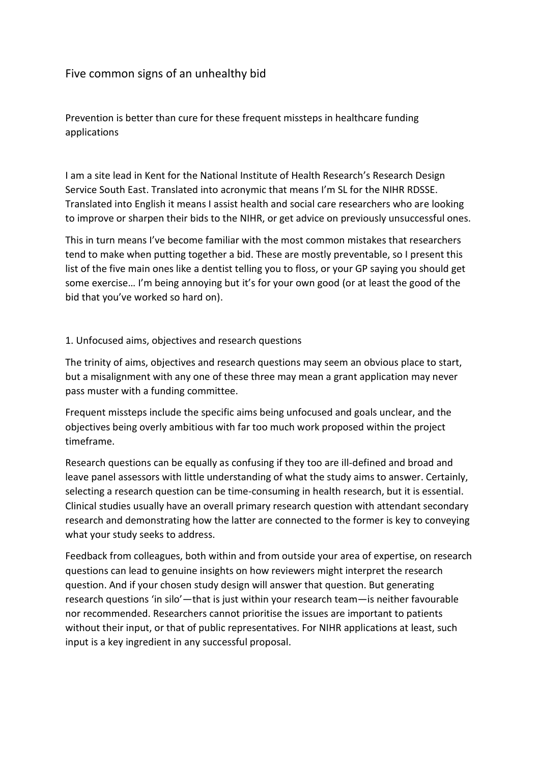### Five common signs of an unhealthy bid

Prevention is better than cure for these frequent missteps in healthcare funding applications

I am a site lead in Kent for the National Institute of Health Research's Research Design Service South East. Translated into acronymic that means I'm SL for the NIHR RDSSE. Translated into English it means I assist health and social care researchers who are looking to improve or sharpen their bids to the NIHR, or get advice on previously unsuccessful ones.

This in turn means I've become familiar with the most common mistakes that researchers tend to make when putting together a bid. These are mostly preventable, so I present this list of the five main ones like a dentist telling you to floss, or your GP saying you should get some exercise… I'm being annoying but it's for your own good (or at least the good of the bid that you've worked so hard on).

#### 1. Unfocused aims, objectives and research questions

The trinity of aims, objectives and research questions may seem an obvious place to start, but a misalignment with any one of these three may mean a grant application may never pass muster with a funding committee.

Frequent missteps include the specific aims being unfocused and goals unclear, and the objectives being overly ambitious with far too much work proposed within the project timeframe.

Research questions can be equally as confusing if they too are ill-defined and broad and leave panel assessors with little understanding of what the study aims to answer. Certainly, selecting a research question can be time-consuming in health research, but it is essential. Clinical studies usually have an overall primary research question with attendant secondary research and demonstrating how the latter are connected to the former is key to conveying what your study seeks to address.

Feedback from colleagues, both within and from outside your area of expertise, on research questions can lead to genuine insights on how reviewers might interpret the research question. And if your chosen study design will answer that question. But generating research questions 'in silo'—that is just within your research team—is neither favourable nor recommended. Researchers cannot prioritise the issues are important to patients without their input, or that of public representatives. For NIHR applications at least, such input is a key ingredient in any successful proposal.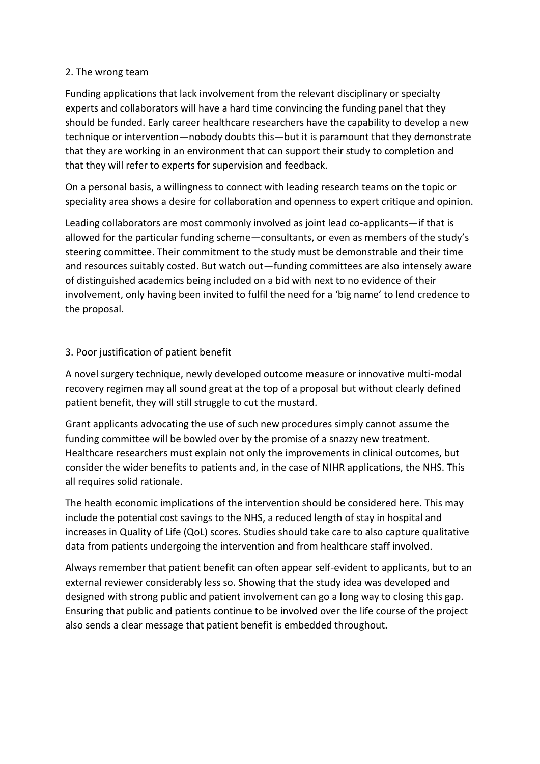#### 2. The wrong team

Funding applications that lack involvement from the relevant disciplinary or specialty experts and collaborators will have a hard time convincing the funding panel that they should be funded. Early career healthcare researchers have the capability to develop a new technique or intervention—nobody doubts this—but it is paramount that they demonstrate that they are working in an environment that can support their study to completion and that they will refer to experts for supervision and feedback.

On a personal basis, a willingness to connect with leading research teams on the topic or speciality area shows a desire for collaboration and openness to expert critique and opinion.

Leading collaborators are most commonly involved as joint lead co-applicants—if that is allowed for the particular funding scheme—consultants, or even as members of the study's steering committee. Their commitment to the study must be demonstrable and their time and resources suitably costed. But watch out—funding committees are also intensely aware of distinguished academics being included on a bid with next to no evidence of their involvement, only having been invited to fulfil the need for a 'big name' to lend credence to the proposal.

#### 3. Poor justification of patient benefit

A novel surgery technique, newly developed outcome measure or innovative multi-modal recovery regimen may all sound great at the top of a proposal but without clearly defined patient benefit, they will still struggle to cut the mustard.

Grant applicants advocating the use of such new procedures simply cannot assume the funding committee will be bowled over by the promise of a snazzy new treatment. Healthcare researchers must explain not only the improvements in clinical outcomes, but consider the wider benefits to patients and, in the case of NIHR applications, the NHS. This all requires solid rationale.

The health economic implications of the intervention should be considered here. This may include the potential cost savings to the NHS, a reduced length of stay in hospital and increases in Quality of Life (QoL) scores. Studies should take care to also capture qualitative data from patients undergoing the intervention and from healthcare staff involved.

Always remember that patient benefit can often appear self-evident to applicants, but to an external reviewer considerably less so. Showing that the study idea was developed and designed with strong public and patient involvement can go a long way to closing this gap. Ensuring that public and patients continue to be involved over the life course of the project also sends a clear message that patient benefit is embedded throughout.